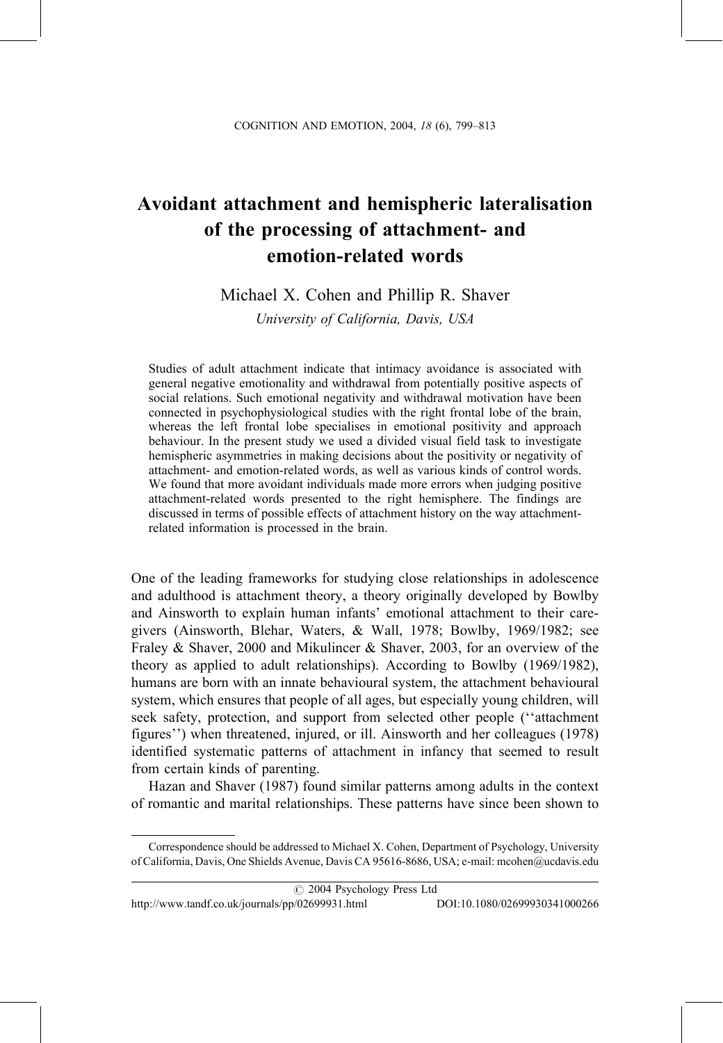# Avoidant attachment and hemispheric lateralisation of the processing of attachment- and emotion-related words

# Michael X. Cohen and Phillip R. Shaver

University of California, Davis, USA

Studies of adult attachment indicate that intimacy avoidance is associated with general negative emotionality and withdrawal from potentially positive aspects of social relations. Such emotional negativity and withdrawal motivation have been connected in psychophysiological studies with the right frontal lobe of the brain, whereas the left frontal lobe specialises in emotional positivity and approach behaviour. In the present study we used a divided visual field task to investigate hemispheric asymmetries in making decisions about the positivity or negativity of attachment- and emotion-related words, as well as various kinds of control words. We found that more avoidant individuals made more errors when judging positive attachment-related words presented to the right hemisphere. The findings are discussed in terms of possible effects of attachment history on the way attachmentrelated information is processed in the brain.

One of the leading frameworks for studying close relationships in adolescence and adulthood is attachment theory, a theory originally developed by Bowlby and Ainsworth to explain human infants' emotional attachment to their caregivers (Ainsworth, Blehar, Waters, & Wall, 1978; Bowlby, 1969/1982; see Fraley & Shaver, 2000 and Mikulincer & Shaver, 2003, for an overview of the theory as applied to adult relationships). According to Bowlby (1969/1982), humans are born with an innate behavioural system, the attachment behavioural system, which ensures that people of all ages, but especially young children, will seek safety, protection, and support from selected other people ("attachment figures") when threatened, injured, or ill. Ainsworth and her colleagues (1978) identified systematic patterns of attachment in infancy that seemed to result from certain kinds of parenting.

Hazan and Shaver (1987) found similar patterns among adults in the context of romantic and marital relationships. These patterns have since been shown to

### C 2004 Psychology Press Ltd

http://www.tandf.co.uk/journals/pp/02699931.html DOI:10.1080/02699930341000266

Correspondence should be addressed to Michael X. Cohen, Department of Psychology, University of California, Davis, One Shields Avenue, Davis CA 95616-8686, USA; e-mail: mcohen@ucdavis.edu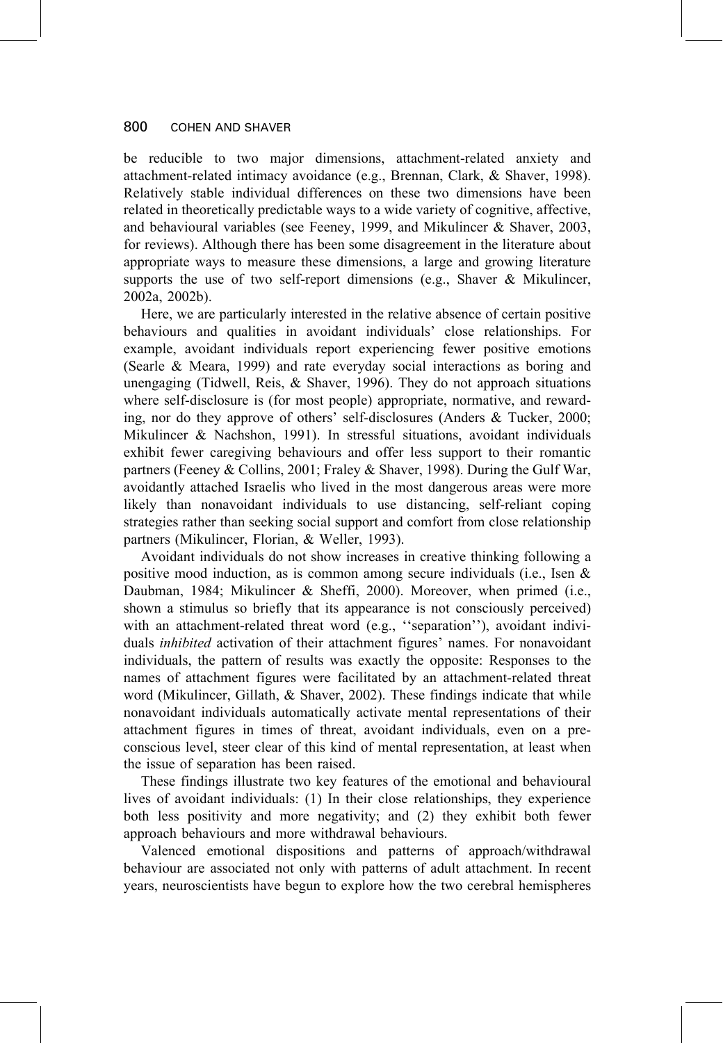be reducible to two major dimensions, attachment-related anxiety and attachment-related intimacy avoidance (e.g., Brennan, Clark, & Shaver, 1998). Relatively stable individual differences on these two dimensions have been related in theoretically predictable ways to a wide variety of cognitive, affective, and behavioural variables (see Feeney, 1999, and Mikulincer & Shaver, 2003, for reviews). Although there has been some disagreement in the literature about appropriate ways to measure these dimensions, a large and growing literature supports the use of two self-report dimensions (e.g., Shaver & Mikulincer, 2002a, 2002b).

Here, we are particularly interested in the relative absence of certain positive behaviours and qualities in avoidant individuals' close relationships. For example, avoidant individuals report experiencing fewer positive emotions (Searle & Meara, 1999) and rate everyday social interactions as boring and unengaging (Tidwell, Reis, & Shaver, 1996). They do not approach situations where self-disclosure is (for most people) appropriate, normative, and rewarding, nor do they approve of others' self-disclosures (Anders & Tucker, 2000; Mikulineer & Nachshon, 1991). In stressful situations, avoidant individuals exhibit fewer caregiving behaviours and offer less support to their romantic partners (Feeney & Collins, 2001; Fraley & Shaver, 1998). During the Gulf War, avoidantly attached Israelis who lived in the most dangerous areas were more likely than nonavoidant individuals to use distancing, self-reliant coping strategies rather than seeking social support and comfort from close relationship partners (Mikulincer, Florian, & Weller, 1993).

Avoidant individuals do not show increases in creative thinking following a positive mood induction, as is common among secure individuals (i.e., Isen & Daubman, 1984; Mikulincer & Sheffi, 2000). Moreover, when primed (i.e., shown a stimulus so briefly that its appearance is not consciously perceived) with an attachment-related threat word (e.g., "separation"), avoidant individuals *inhibited* activation of their attachment figures' names. For nonavoidant individuals, the pattern of results was exactly the opposite: Responses to the names of attachment figures were facilitated by an attachment-related threat word (Mikulineer, Gillath, & Shaver, 2002). These findings indicate that while nonavoidant individuals automatically activate mental representations of their attachment figures in times of threat, avoidant individuals, even on a preconscious level, steer clear of this kind of mental representation, at least when the issue of separation has been raised.

These findings illustrate two key features of the emotional and behavioural lives of avoidant individuals: (1) In their close relationships, they experience both less positivity and more negativity; and (2) they exhibit both fewer approach behaviours and more withdrawal behaviours.

Valenced emotional dispositions and patterns of approach/withdrawal behaviour are associated not only with patterns of adult attachment. In recent years, neuroscientists have begun to explore how the two cerebral hemispheres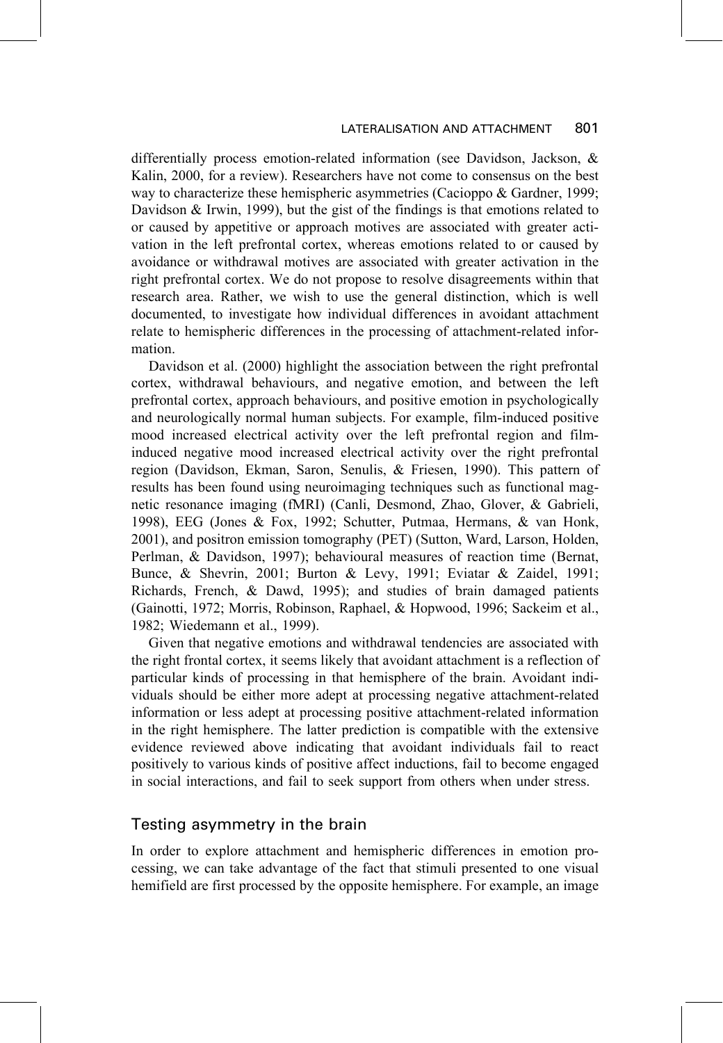#### LATERALISATION AND ATTACHMENT 801

differentially process emotion-related information (see Davidson, Jackson, & Kalin, 2000, for a review). Researchers have not come to consensus on the best way to characterize these hemispheric asymmetries (Cacioppo & Gardner, 1999; Davidson  $& Irwin, 1999$ , but the gist of the findings is that emotions related to or caused by appetitive or approach motives are associated with greater activation in the left prefrontal cortex, whereas emotions related to or caused by avoidance or withdrawal motives are associated with greater activation in the right prefrontal cortex. We do not propose to resolve disagreements within that research area. Rather, we wish to use the general distinction, which is well documented, to investigate how individual differences in avoidant attachment relate to hemispheric differences in the processing of attachment-related information.

Davidson et al. (2000) highlight the association between the right prefrontal cortex, withdrawal behaviours, and negative emotion, and between the left prefrontal cortex, approach behaviours, and positive emotion in psychologically and neurologically normal human subjects. For example, film-induced positive mood increased electrical activity over the left prefrontal region and filminduced negative mood increased electrical activity over the right prefrontal region (Davidson, Ekman, Saron, Senulis, & Friesen, 1990). This pattern of results has been found using neuroimaging techniques such as functional magnetic resonance imaging (fMRI) (Canli, Desmond, Zhao, Glover, & Gabrieli, 1998), EEG (Jones & Fox, 1992; Schutter, Putmaa, Hermans, & van Honk, 2001), and positron emission tomography (PET) (Sutton, Ward, Larson, Holden, Perlman, & Davidson, 1997); behavioural measures of reaction time (Bernat, Bunce, & Shevrin, 2001; Burton & Levy, 1991; Eviatar & Zaidel, 1991; Richards, French, & Dawd, 1995); and studies of brain damaged patients (Gainotti, 1972; Morris, Robinson, Raphael, & Hopwood, 1996; Sackeim et al., 1982; Wiedemann et al., 1999).

Given that negative emotions and withdrawal tendencies are associated with the right frontal cortex, it seems likely that avoidant attachment is a reflection of particular kinds of processing in that hemisphere of the brain. Avoidant individuals should be either more adept at processing negative attachment-related information or less adept at processing positive attachment-related information in the right hemisphere. The latter prediction is compatible with the extensive evidence reviewed above indicating that avoidant individuals fail to react positively to various kinds of positive affect inductions, fail to become engaged in social interactions, and fail to seek support from others when under stress.

# Testing asymmetry in the brain

In order to explore attachment and hemispheric differences in emotion processing, we can take advantage of the fact that stimuli presented to one visual hemifield are first processed by the opposite hemisphere. For example, an image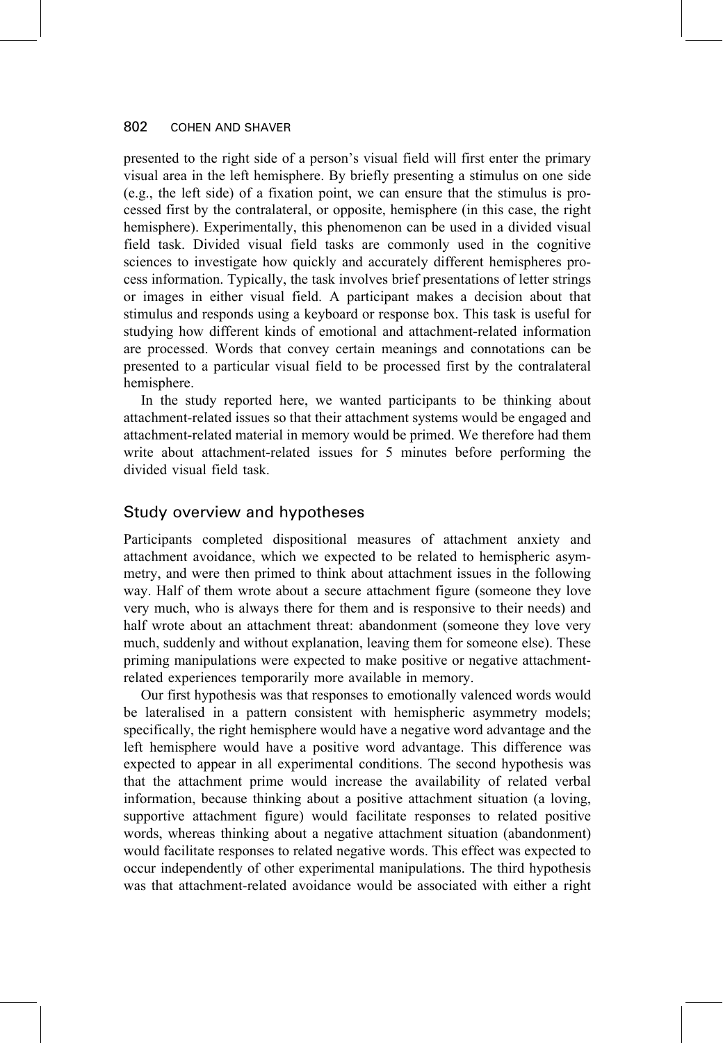presented to the right side of a person's visual field will first enter the primary visual area in the left hemisphere. By briefly presenting a stimulus on one side (e.g., the left side) of a fixation point, we can ensure that the stimulus is processed first by the contralateral, or opposite, hemisphere (in this case, the right hemisphere). Experimentally, this phenomenon can be used in a divided visual field task. Divided visual field tasks are commonly used in the cognitive sciences to investigate how quickly and accurately different hemispheres process information. Typically, the task involves brief presentations of letter strings or images in either visual field. A participant makes a decision about that stimulus and responds using a keyboard or response box. This task is useful for studying how different kinds of emotional and attachment-related information are processed. Words that convey certain meanings and connotations can be presented to a particular visual field to be processed first by the contralateral hemisphere.

In the study reported here, we wanted participants to be thinking about attachment-related issues so that their attachment systems would be engaged and attachment-related material in memory would be primed. We therefore had them write about attachment-related issues for 5 minutes before performing the divided visual field task.

# Study overview and hypotheses

Participants completed dispositional measures of attachment anxiety and attachment avoidance, which we expected to be related to hemispheric asymmetry, and were then primed to think about attachment issues in the following way. Half of them wrote about a secure attachment figure (someone they love very much, who is always there for them and is responsive to their needs) and half wrote about an attachment threat: abandonment (someone they love very much, suddenly and without explanation, leaving them for someone else). These priming manipulations were expected to make positive or negative attachmentrelated experiences temporarily more available in memory.

Our first hypothesis was that responses to emotionally valenced words would be lateralised in a pattern consistent with hemispheric asymmetry models; specifically, the right hemisphere would have a negative word advantage and the left hemisphere would have a positive word advantage. This difference was expected to appear in all experimental conditions. The second hypothesis was that the attachment prime would increase the availability of related verbal information, because thinking about a positive attachment situation (a loving, supportive attachment figure) would facilitate responses to related positive words, whereas thinking about a negative attachment situation (abandonment) would facilitate responses to related negative words. This effect was expected to occur independently of other experimental manipulations. The third hypothesis was that attachment-related avoidance would be associated with either a right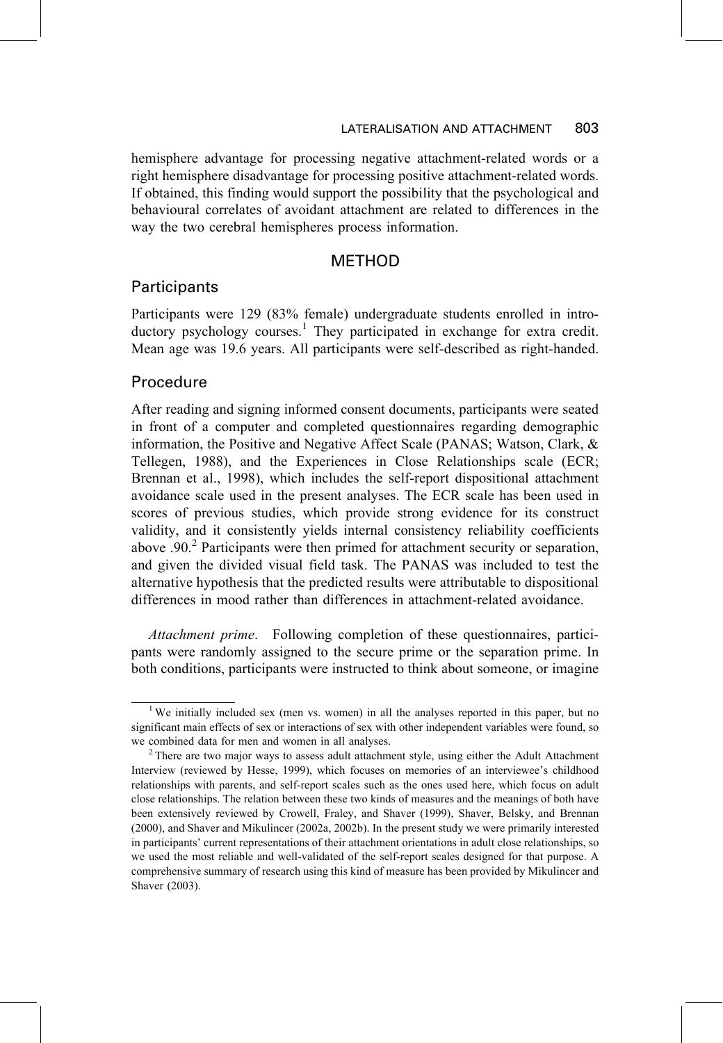hemisphere advantage for processing negative attachment-related words or a right hemisphere disadvantage for processing positive attachment-related words. If obtained, this finding would support the possibility that the psychological and behavioural correlates of avoidant attachment are related to differences in the way the two cerebral hemispheres process information.

## **METHOD**

### Participants

Participants were 129 (83% female) undergraduate students enrolled in introductory psychology courses.<sup>1</sup> They participated in exchange for extra credit. Mean age was 19.6 years. All participants were self-described as right-handed.

### Procedure

After reading and signing informed consent documents, participants were seated in front of a computer and completed questionnaires regarding demographic information, the Positive and Negative Affect Scale (PANAS; Watson, Clark, & Tellegen, 1988), and the Experiences in Close Relationships scale (ECR; Brennan et al., 1998), which includes the self-report dispositional attachment avoidance scale used in the present analyses. The ECR scale has been used in scores of previous studies, which provide strong evidence for its construct validity, and it consistently yields internal consistency reliability coefficients above .90.<sup>2</sup> Participants were then primed for attachment security or separation, and given the divided visual field task. The PANAS was included to test the alternative hypothesis that the predicted results were attributable to dispositional differences in mood rather than differences in attachment-related avoidance.

*Attachment prime.* Following completion of these questionnaires, participants were randomly assigned to the secure prime or the separation prime. In both conditions, participants were instructed to think about someone, or imagine

<sup>&</sup>lt;sup>1</sup> We initially included sex (men vs. women) in all the analyses reported in this paper, but no significant main effects of sex or interactions of sex with other independent variables were found, so we combined data for men and women in all analyses.

<sup>&</sup>lt;sup>2</sup> There are two major ways to assess adult attachment style, using either the Adult Attachment Interview (reviewed by Hesse, 1999), which focuses on memories of an interviewee's childhood relationships with parents, and self-report scales such as the ones used here, which focus on adult close relationships. The relation between these two kinds of measures and the meanings of both have been extensively reviewed by Crowell, Fraley, and Shaver (1999), Shaver, Belsky, and Brennan (2000), and Shaver and Mikulincer (2002a, 2002b). In the present study we were primarily interested in participants' current representations of their attachment orientations in adult close relationships, so we used the most reliable and well-validated of the self-report scales designed for that purpose. A comprehensive summary of research using this kind of measure has been provided by Mikulincer and Shaver (2003).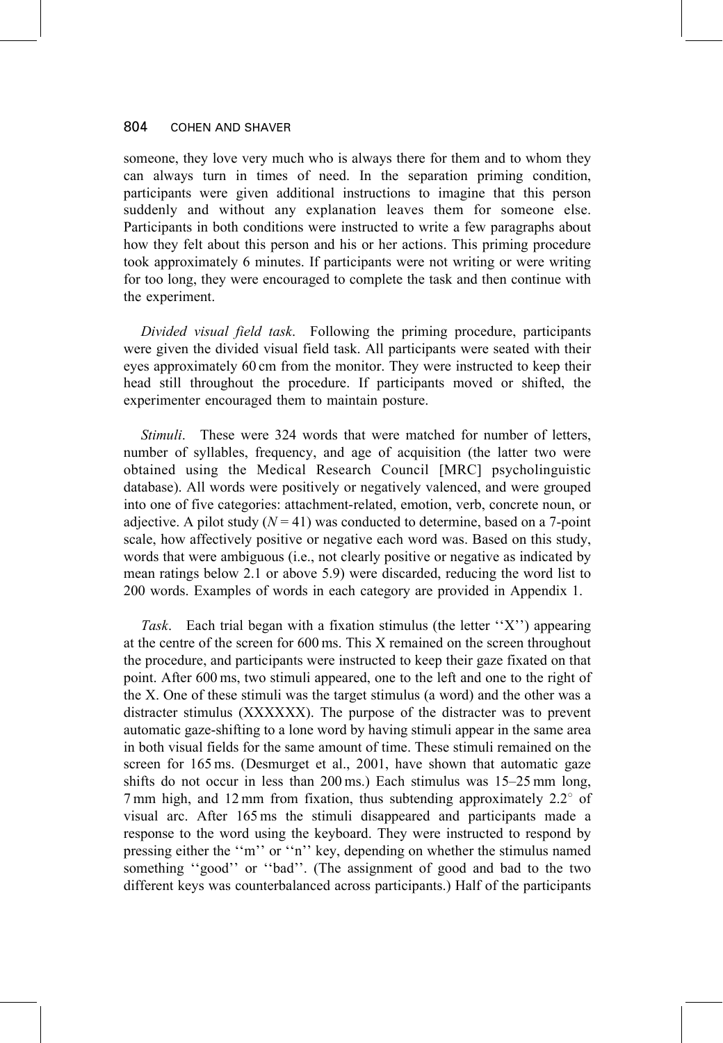someone, they love very much who is always there for them and to whom they can always turn in times of need. In the separation priming condition, participants were given additional instructions to imagine that this person suddenly and without any explanation leaves them for someone else. Participants in both conditions were instructed to write a few paragraphs about how they felt about this person and his or her actions. This priming procedure took approximately 6 minutes. If participants were not writing or were writing for too long, they were encouraged to complete the task and then continue with the experiment.

Divided visual field task. Following the priming procedure, participants were given the divided visual field task. All participants were seated with their eyes approximately 60 cm from the monitor. They were instructed to keep their head still throughout the procedure. If participants moved or shifted, the experimenter encouraged them to maintain posture.

Stimuli. These were 324 words that were matched for number of letters, number of syllables, frequency, and age of acquisition (the latter two were obtained using the Medical Research Council [MRC] psycholinguistic database). All words were positively or negatively valenced, and were grouped into one of five categories: attachment-related, emotion, verb, concrete noun, or adjective. A pilot study  $(N = 41)$  was conducted to determine, based on a 7-point scale, how affectively positive or negative each word was. Based on this study, words that were ambiguous (i.e., not clearly positive or negative as indicated by mean ratings below 2.1 or above 5.9) were discarded, reducing the word list to 200 words. Examples of words in each category are provided in Appendix 1.

Task. Each trial began with a fixation stimulus (the letter "X") appearing at the centre of the screen for 600 ms. This X remained on the screen throughout the procedure, and participants were instructed to keep their gaze fixated on that point. After 600 ms, two stimuli appeared, one to the left and one to the right of the X. One of these stimuli was the target stimulus (a word) and the other was a distracter stimulus (XXXXXX). The purpose of the distracter was to prevent automatic gaze-shifting to a lone word by having stimuli appear in the same area in both visual fields for the same amount of time. These stimuli remained on the screen for 165 ms. (Desmurget et al., 2001, have shown that automatic gaze shifts do not occur in less than 200 ms.) Each stimulus was 15–25 mm long, 7 mm high, and 12 mm from fixation, thus subtending approximately  $2.2^{\circ}$  of visual arc. After 165 ms the stimuli disappeared and participants made a response to the word using the keyboard. They were instructed to respond by pressing either the "m" or "n" key, depending on whether the stimulus named something "good" or "bad". (The assignment of good and bad to the two different keys was counterbalanced across participants.) Half of the participants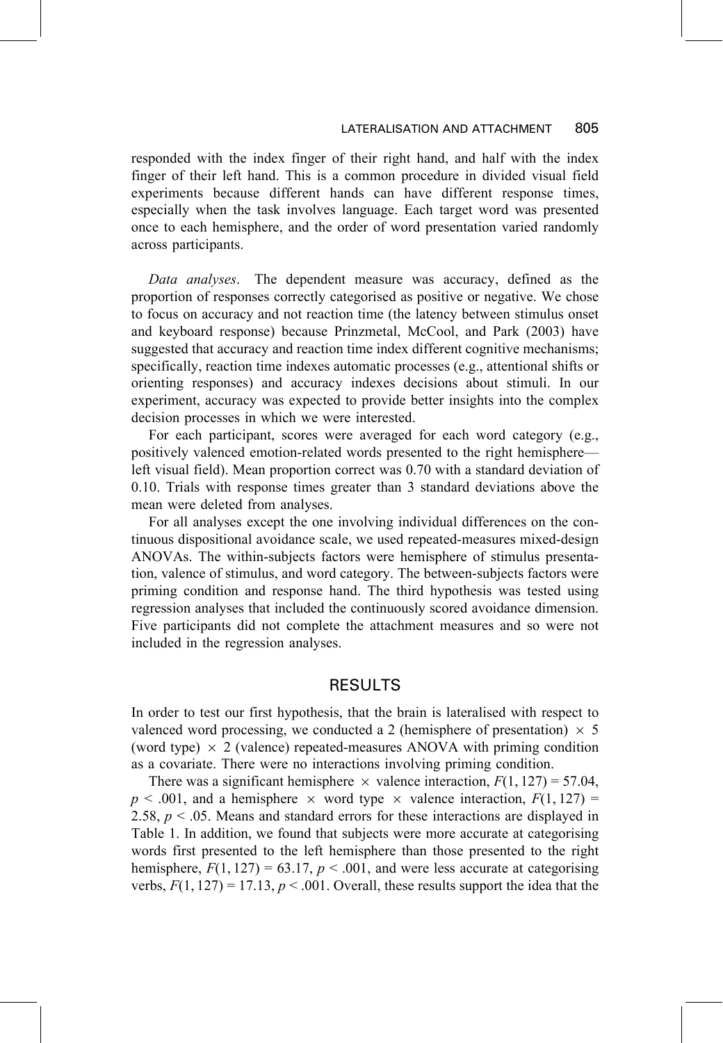responded with the index finger of their right hand, and half with the index finger of their left hand. This is a common procedure in divided visual field experiments because different hands can have different response times, especially when the task involves language. Each target word was presented once to each hemisphere, and the order of word presentation varied randomly across participants.

Data analyses. The dependent measure was accuracy, defined as the proportion of responses correctly categorised as positive or negative. We chose to focus on accuracy and not reaction time (the latency between stimulus onset and keyboard response) because Prinzmetal, McCool, and Park (2003) have suggested that accuracy and reaction time index different cognitive mechanisms; specifically, reaction time indexes automatic processes (e.g., attentional shifts or orienting responses) and accuracy indexes decisions about stimuli. In our experiment, accuracy was expected to provide better insights into the complex decision processes in which we were interested.

For each participant, scores were averaged for each word category (e.g., positively valenced emotion-related words presented to the right hemisphereleft visual field). Mean proportion correct was 0.70 with a standard deviation of 0.10. Trials with response times greater than 3 standard deviations above the mean were deleted from analyses.

For all analyses except the one involving individual differences on the continuous dispositional avoidance scale, we used repeated-measures mixed-design ANOVAs. The within-subjects factors were hemisphere of stimulus presentation, valence of stimulus, and word category. The between-subjects factors were priming condition and response hand. The third hypothesis was tested using regression analyses that included the continuously scored avoidance dimension. Five participants did not complete the attachment measures and so were not included in the regression analyses.

# **RESULTS**

In order to test our first hypothesis, that the brain is lateralised with respect to valenced word processing, we conducted a 2 (hemisphere of presentation)  $\times$  5 (word type)  $\times$  2 (valence) repeated-measures ANOVA with priming condition as a covariate. There were no interactions involving priming condition.

There was a significant hemisphere  $\times$  valence interaction,  $F(1, 127) = 57.04$ ,  $p \le 0.001$ , and a hemisphere  $\times$  word type  $\times$  valence interaction,  $F(1, 127) =$ 2.58,  $p < .05$ . Means and standard errors for these interactions are displayed in Table 1. In addition, we found that subjects were more accurate at categorising words first presented to the left hemisphere than those presented to the right hemisphere,  $F(1, 127) = 63.17$ ,  $p < .001$ , and were less accurate at categorising verbs,  $F(1, 127) = 17.13$ ,  $p < .001$ . Overall, these results support the idea that the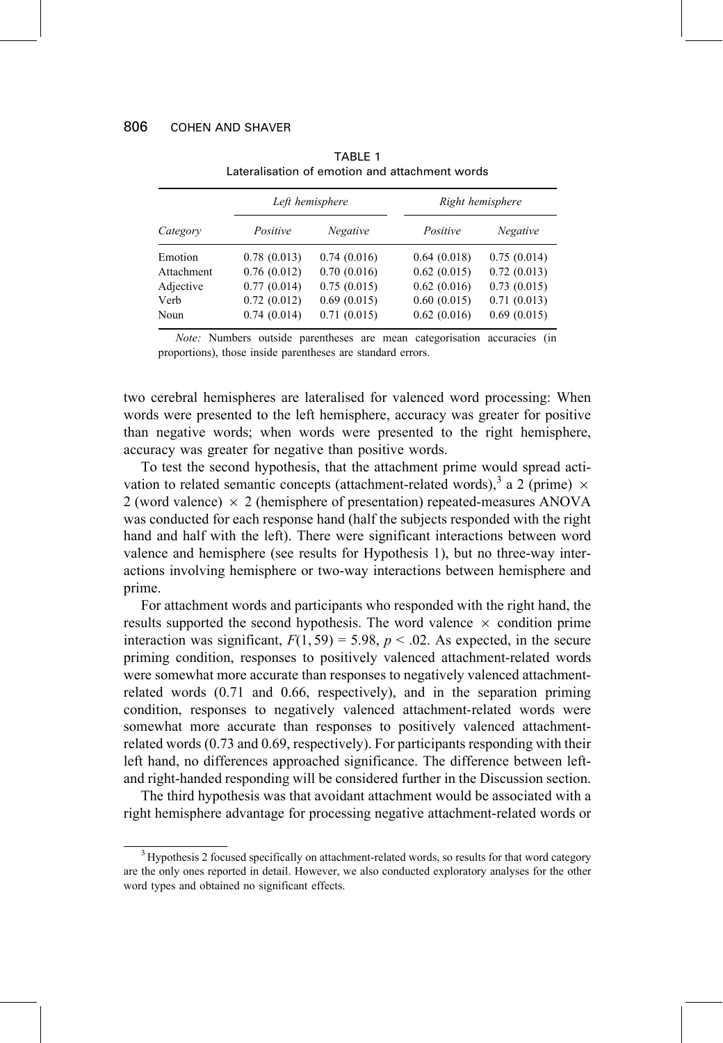|            | Left hemisphere |             | Right hemisphere |             |  |
|------------|-----------------|-------------|------------------|-------------|--|
| Category   | Positive        | Negative    | Positive         | Negative    |  |
| Emotion    | 0.78(0.013)     | 0.74(0.016) | 0.64(0.018)      | 0.75(0.014) |  |
| Attachment | 0.76(0.012)     | 0.70(0.016) | 0.62(0.015)      | 0.72(0.013) |  |
| Adjective  | 0.77(0.014)     | 0.75(0.015) | 0.62(0.016)      | 0.73(0.015) |  |
| Verb       | 0.72(0.012)     | 0.69(0.015) | 0.60(0.015)      | 0.71(0.013) |  |
| Noun       | 0.74(0.014)     | 0.71(0.015) | 0.62(0.016)      | 0.69(0.015) |  |

TABLE 1 Lateralisation of emotion and attachment words

Note: Numbers outside parentheses are mean categorisation accuracies (in proportions), those inside parentheses are standard errors.

two cerebral hemispheres are lateralised for valenced word processing: When words were presented to the left hemisphere, accuracy was greater for positive than negative words; when words were presented to the right hemisphere, accuracy was greater for negative than positive words.

To test the second hypothesis, that the attachment prime would spread activation to related semantic concepts (attachment-related words),  $3a$  2 (prime)  $\times$ 2 (word valence)  $\times$  2 (hemisphere of presentation) repeated-measures ANOVA was conducted for each response hand (half the subjects responded with the right hand and half with the left). There were significant interactions between word valence and hemisphere (see results for Hypothesis 1), but no three-way interactions involving hemisphere or two-way interactions between hemisphere and prime.

For attachment words and participants who responded with the right hand, the results supported the second hypothesis. The word valence  $\times$  condition prime interaction was significant,  $F(1, 59) = 5.98$ ,  $p < .02$ . As expected, in the secure priming condition, responses to positively valenced attachment-related words were somewhat more accurate than responses to negatively valenced attachmentrelated words (0.71 and 0.66, respectively), and in the separation priming condition, responses to negatively valenced attachment-related words were somewhat more accurate than responses to positively valenced attachmentrelated words (0.73 and 0.69, respectively). For participants responding with their left hand, no differences approached significance. The difference between leftand right-handed responding will be considered further in the Discussion section.

The third hypothesis was that avoidant attachment would be associated with a right hemisphere advantage for processing negative attachment-related words or

<sup>&</sup>lt;sup>3</sup> Hypothesis 2 focused specifically on attachment-related words, so results for that word category are the only ones reported in detail. However, we also conducted exploratory analyses for the other word types and obtained no significant effects.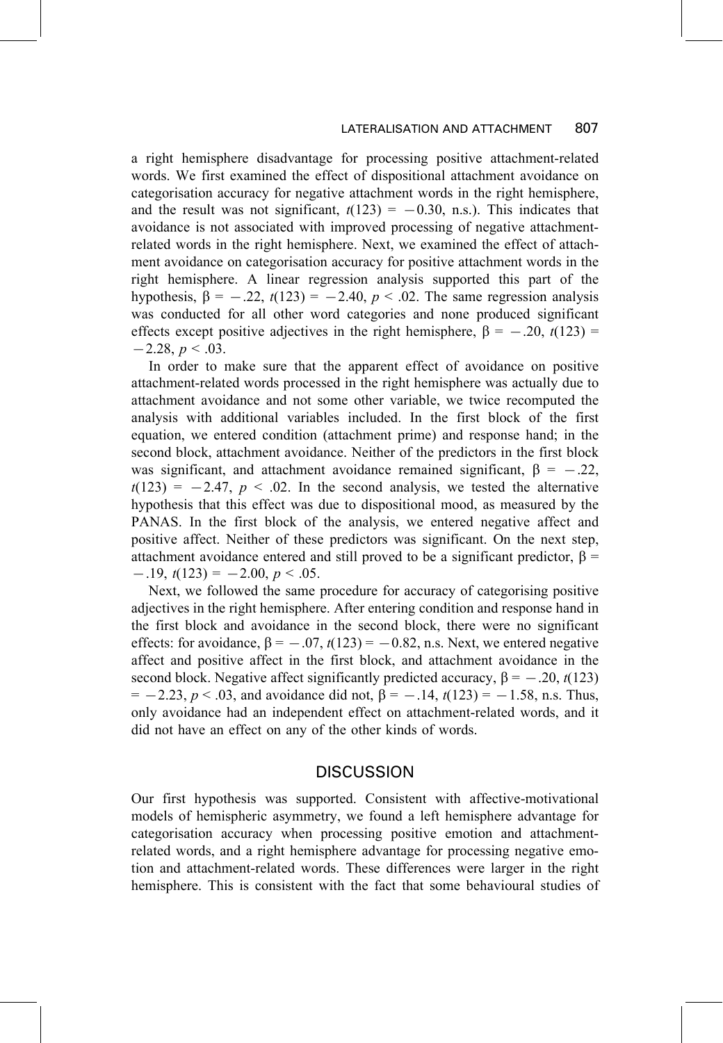#### 807 LATERALISATION AND ATTACHMENT

a right hemisphere disadvantage for processing positive attachment-related words. We first examined the effect of dispositional attachment avoidance on categorisation accuracy for negative attachment words in the right hemisphere, and the result was not significant,  $t(123) = -0.30$ , n.s.). This indicates that avoidance is not associated with improved processing of negative attachmentrelated words in the right hemisphere. Next, we examined the effect of attachment avoidance on categorisation accuracy for positive attachment words in the right hemisphere. A linear regression analysis supported this part of the hypothesis,  $\beta = -.22$ ,  $t(123) = -2.40$ ,  $p < .02$ . The same regression analysis was conducted for all other word categories and none produced significant effects except positive adjectives in the right hemisphere,  $\beta = -.20$ ,  $t(123) =$  $-2.28, p \leq .03.$ 

In order to make sure that the apparent effect of avoidance on positive attachment-related words processed in the right hemisphere was actually due to attachment avoidance and not some other variable, we twice recomputed the analysis with additional variables included. In the first block of the first equation, we entered condition (attachment prime) and response hand; in the second block, attachment avoidance. Neither of the predictors in the first block was significant, and attachment avoidance remained significant,  $\beta = -.22$ ,  $t(123) = -2.47$ ,  $p < .02$ . In the second analysis, we tested the alternative hypothesis that this effect was due to dispositional mood, as measured by the PANAS. In the first block of the analysis, we entered negative affect and positive affect. Neither of these predictors was significant. On the next step, attachment avoidance entered and still proved to be a significant predictor,  $\beta$  =  $-.19, t(123) = -2.00, p < .05.$ 

Next, we followed the same procedure for accuracy of categorising positive adjectives in the right hemisphere. After entering condition and response hand in the first block and avoidance in the second block, there were no significant effects: for avoidance,  $\beta = -.07$ ,  $t(123) = -0.82$ , n.s. Next, we entered negative affect and positive affect in the first block, and attachment avoidance in the second block. Negative affect significantly predicted accuracy,  $\beta = -.20$ ,  $t(123)$  $= -2.23$ ,  $p < .03$ , and avoidance did not,  $\beta = -.14$ ,  $t(123) = -1.58$ , n.s. Thus, only avoidance had an independent effect on attachment-related words, and it did not have an effect on any of the other kinds of words.

### **DISCUSSION**

Our first hypothesis was supported. Consistent with affective-motivational models of hemispheric asymmetry, we found a left hemisphere advantage for categorisation accuracy when processing positive emotion and attachmentrelated words, and a right hemisphere advantage for processing negative emotion and attachment-related words. These differences were larger in the right hemisphere. This is consistent with the fact that some behavioural studies of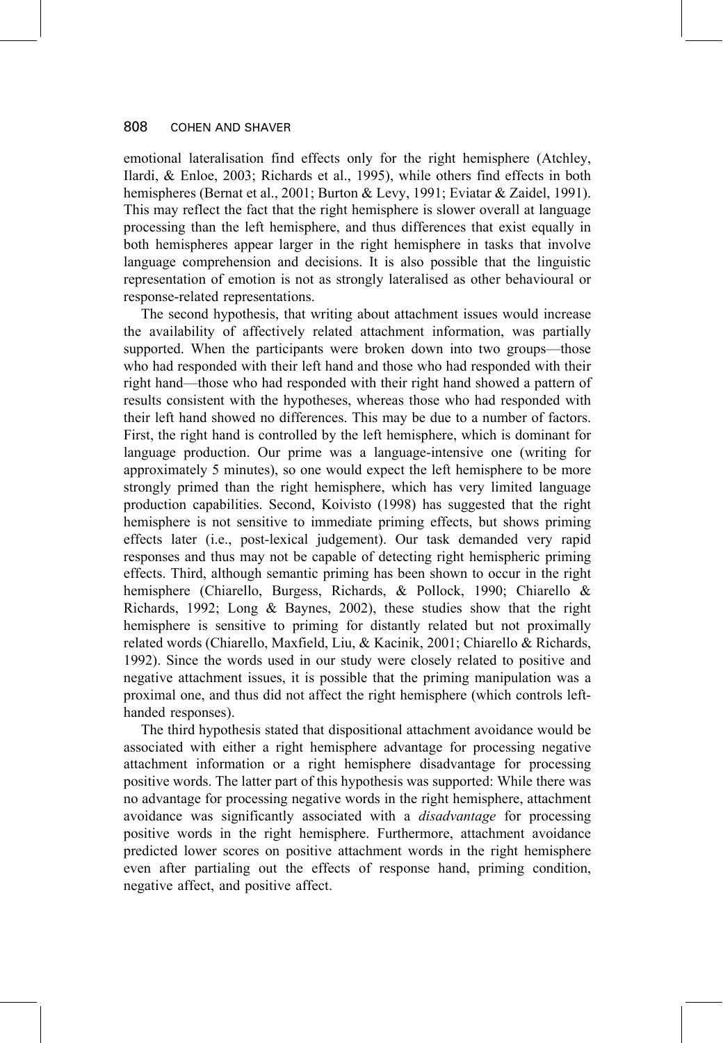emotional lateralisation find effects only for the right hemisphere (Atchley, Ilardi, & Enloe, 2003; Richards et al., 1995), while others find effects in both hemispheres (Bernat et al., 2001; Burton & Levy, 1991; Eviatar & Zaidel, 1991). This may reflect the fact that the right hemisphere is slower overall at language processing than the left hemisphere, and thus differences that exist equally in both hemispheres appear larger in the right hemisphere in tasks that involve language comprehension and decisions. It is also possible that the linguistic representation of emotion is not as strongly lateralised as other behavioural or response-related representations.

The second hypothesis, that writing about attachment issues would increase the availability of affectively related attachment information, was partially supported. When the participants were broken down into two groups—those who had responded with their left hand and those who had responded with their right hand—those who had responded with their right hand showed a pattern of results consistent with the hypotheses, whereas those who had responded with their left hand showed no differences. This may be due to a number of factors. First, the right hand is controlled by the left hemisphere, which is dominant for language production. Our prime was a language-intensive one (writing for approximately 5 minutes), so one would expect the left hemisphere to be more strongly primed than the right hemisphere, which has very limited language production capabilities. Second, Koivisto (1998) has suggested that the right hemisphere is not sensitive to immediate priming effects, but shows priming effects later (i.e., post-lexical judgement). Our task demanded very rapid responses and thus may not be capable of detecting right hemispheric priming effects. Third, although semantic priming has been shown to occur in the right hemisphere (Chiarello, Burgess, Richards, & Pollock, 1990; Chiarello & Richards, 1992; Long & Baynes, 2002), these studies show that the right hemisphere is sensitive to priming for distantly related but not proximally related words (Chiarello, Maxfield, Liu, & Kacinik, 2001; Chiarello & Richards, 1992). Since the words used in our study were closely related to positive and negative attachment issues, it is possible that the priming manipulation was a proximal one, and thus did not affect the right hemisphere (which controls lefthanded responses).

The third hypothesis stated that dispositional attachment avoidance would be associated with either a right hemisphere advantage for processing negative attachment information or a right hemisphere disadvantage for processing positive words. The latter part of this hypothesis was supported: While there was no advantage for processing negative words in the right hemisphere, attachment avoidance was significantly associated with a *disadvantage* for processing positive words in the right hemisphere. Furthermore, attachment avoidance predicted lower scores on positive attachment words in the right hemisphere even after partialing out the effects of response hand, priming condition, negative affect, and positive affect.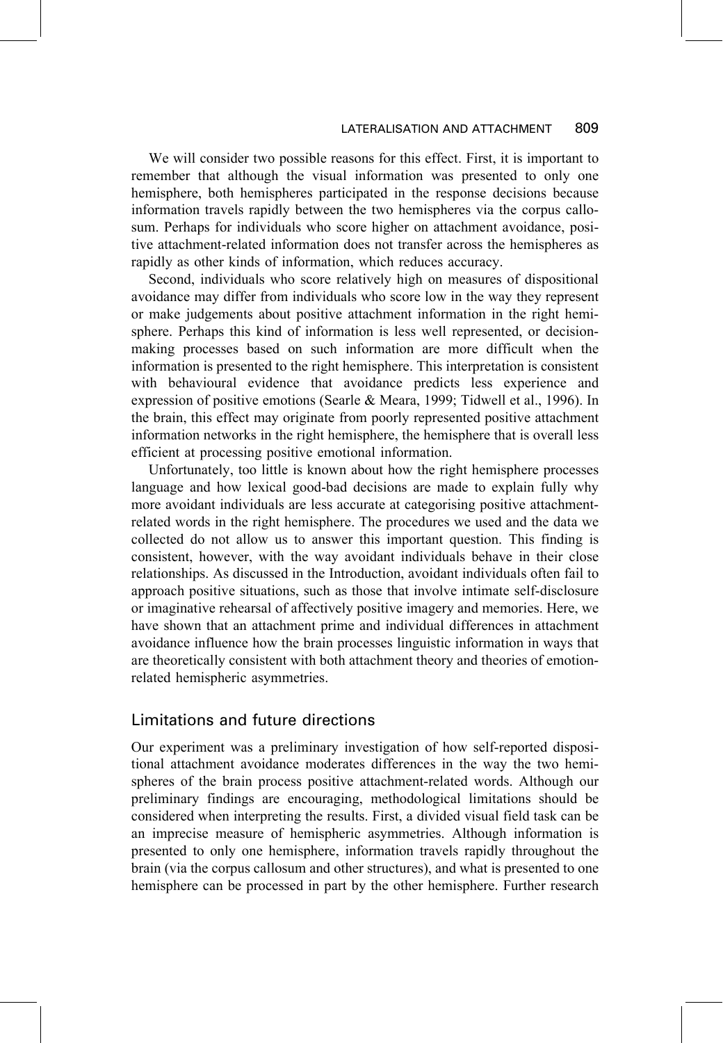We will consider two possible reasons for this effect. First, it is important to remember that although the visual information was presented to only one hemisphere, both hemispheres participated in the response decisions because information travels rapidly between the two hemispheres via the corpus callosum. Perhaps for individuals who score higher on attachment avoidance, positive attachment-related information does not transfer across the hemispheres as rapidly as other kinds of information, which reduces accuracy.

Second, individuals who score relatively high on measures of dispositional avoidance may differ from individuals who score low in the way they represent or make judgements about positive attachment information in the right hemisphere. Perhaps this kind of information is less well represented, or decisionmaking processes based on such information are more difficult when the information is presented to the right hemisphere. This interpretation is consistent with behavioural evidence that avoidance predicts less experience and expression of positive emotions (Searle & Meara, 1999; Tidwell et al., 1996). In the brain, this effect may originate from poorly represented positive attachment information networks in the right hemisphere, the hemisphere that is overall less efficient at processing positive emotional information.

Unfortunately, too little is known about how the right hemisphere processes language and how lexical good-bad decisions are made to explain fully why more avoidant individuals are less accurate at categorising positive attachmentrelated words in the right hemisphere. The procedures we used and the data we collected do not allow us to answer this important question. This finding is consistent, however, with the way avoidant individuals behave in their close relationships. As discussed in the Introduction, avoidant individuals often fail to approach positive situations, such as those that involve intimate self-disclosure or imaginative rehearsal of affectively positive imagery and memories. Here, we have shown that an attachment prime and individual differences in attachment avoidance influence how the brain processes linguistic information in ways that are theoretically consistent with both attachment theory and theories of emotionrelated hemispheric asymmetries.

# Limitations and future directions

Our experiment was a preliminary investigation of how self-reported dispositional attachment avoidance moderates differences in the way the two hemispheres of the brain process positive attachment-related words. Although our preliminary findings are encouraging, methodological limitations should be considered when interpreting the results. First, a divided visual field task can be an imprecise measure of hemispheric asymmetries. Although information is presented to only one hemisphere, information travels rapidly throughout the brain (via the corpus callosum and other structures), and what is presented to one hemisphere can be processed in part by the other hemisphere. Further research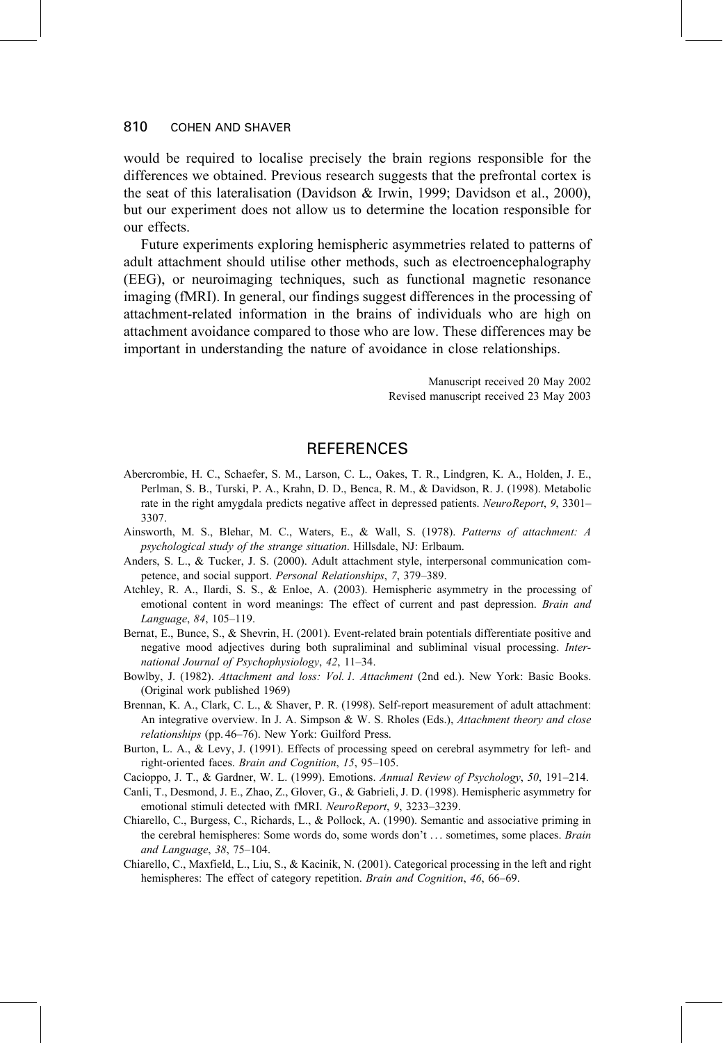would be required to localise precisely the brain regions responsible for the differences we obtained. Previous research suggests that the prefrontal cortex is the seat of this lateralisation (Davidson & Irwin, 1999; Davidson et al., 2000), but our experiment does not allow us to determine the location responsible for our effects.

Future experiments exploring hemispheric asymmetries related to patterns of adult attachment should utilise other methods, such as electroencephalography (EEG), or neuroimaging techniques, such as functional magnetic resonance imaging (fMRI). In general, our findings suggest differences in the processing of attachment-related information in the brains of individuals who are high on attachment avoidance compared to those who are low. These differences may be important in understanding the nature of avoidance in close relationships.

> Manuscript received 20 May 2002 Revised manuscript received 23 May 2003

## **REFERENCES**

- Abercrombie, H. C., Schaefer, S. M., Larson, C. L., Oakes, T. R., Lindgren, K. A., Holden, J. E., Perlman, S. B., Turski, P. A., Krahn, D. D., Benca, R. M., & Davidson, R. J. (1998). Metabolic rate in the right amygdala predicts negative affect in depressed patients. NeuroReport, 9, 3301– 3307
- Ainsworth, M. S., Blehar, M. C., Waters, E., & Wall, S. (1978). Patterns of attachment: A psychological study of the strange situation. Hillsdale, NJ: Erlbaum.
- Anders, S. L., & Tucker, J. S. (2000). Adult attachment style, interpersonal communication competence, and social support. Personal Relationships, 7, 379-389.
- Atchley, R. A., Ilardi, S. S., & Enloe, A. (2003). Hemispheric asymmetry in the processing of emotional content in word meanings: The effect of current and past depression. Brain and Language, 84, 105-119.
- Bernat, E., Bunce, S., & Shevrin, H. (2001). Event-related brain potentials differentiate positive and negative mood adjectives during both supraliminal and subliminal visual processing. International Journal of Psychophysiology, 42, 11-34.
- Bowlby, J. (1982). Attachment and loss: Vol. 1. Attachment (2nd ed.). New York: Basic Books. (Original work published 1969)
- Brennan, K. A., Clark, C. L., & Shaver, P. R. (1998). Self-report measurement of adult attachment: An integrative overview. In J. A. Simpson & W. S. Rholes (Eds.), Attachment theory and close relationships (pp. 46–76). New York: Guilford Press.
- Burton, L. A., & Levy, J. (1991). Effects of processing speed on cerebral asymmetry for left- and right-oriented faces. Brain and Cognition, 15, 95-105.
- Cacioppo, J. T., & Gardner, W. L. (1999). Emotions. Annual Review of Psychology, 50, 191-214.
- Canli, T., Desmond, J. E., Zhao, Z., Glover, G., & Gabrieli, J. D. (1998). Hemispheric asymmetry for emotional stimuli detected with fMRI. NeuroReport, 9, 3233-3239.
- Chiarello, C., Burgess, C., Richards, L., & Pollock, A. (1990). Semantic and associative priming in the cerebral hemispheres: Some words do, some words don't ... sometimes, some places. Brain and Language, 38, 75-104.
- Chiarello, C., Maxfield, L., Liu, S., & Kacinik, N. (2001). Categorical processing in the left and right hemispheres: The effect of category repetition. Brain and Cognition, 46, 66-69.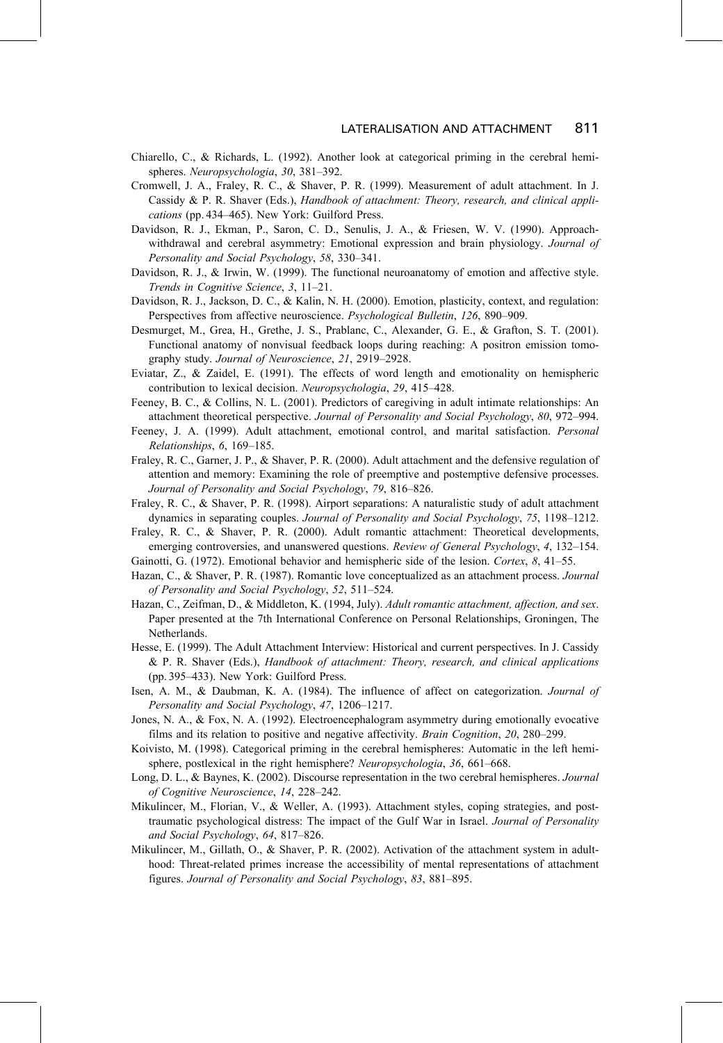- Chiarello, C., & Richards, L. (1992). Another look at categorical priming in the cerebral hemispheres. Neuropsychologia, 30, 381-392.
- Cromwell, J. A., Fraley, R. C., & Shaver, P. R. (1999). Measurement of adult attachment. In J. Cassidy & P. R. Shaver (Eds.), Handbook of attachment: Theory, research, and clinical applications (pp. 434-465). New York: Guilford Press.
- Davidson, R. J., Ekman, P., Saron, C. D., Senulis, J. A., & Friesen, W. V. (1990). Approachwithdrawal and cerebral asymmetry: Emotional expression and brain physiology. Journal of Personality and Social Psychology, 58, 330-341.
- Davidson, R. J., & Irwin, W. (1999). The functional neuroanatomy of emotion and affective style. Trends in Cognitive Science, 3, 11-21.
- Davidson, R. J., Jackson, D. C., & Kalin, N. H. (2000). Emotion, plasticity, context, and regulation: Perspectives from affective neuroscience. Psychological Bulletin, 126, 890-909.
- Desmurget, M., Grea, H., Grethe, J. S., Prablanc, C., Alexander, G. E., & Grafton, S. T. (2001). Functional anatomy of nonvisual feedback loops during reaching: A positron emission tomography study. Journal of Neuroscience, 21, 2919-2928.
- Eviatar, Z., & Zaidel, E. (1991). The effects of word length and emotionality on hemispheric contribution to lexical decision. Neuropsychologia, 29, 415-428.
- Feeney, B. C., & Collins, N. L. (2001). Predictors of caregiving in adult intimate relationships: An attachment theoretical perspective. Journal of Personality and Social Psychology, 80, 972–994.
- Feeney, J. A. (1999). Adult attachment, emotional control, and marital satisfaction. Personal Relationships, 6, 169-185.
- Fraley, R. C., Garner, J. P., & Shaver, P. R. (2000). Adult attachment and the defensive regulation of attention and memory: Examining the role of preemptive and postemptive defensive processes. Journal of Personality and Social Psychology, 79, 816-826.
- Fraley, R. C., & Shaver, P. R. (1998). Airport separations: A naturalistic study of adult attachment dynamics in separating couples. Journal of Personality and Social Psychology, 75, 1198–1212.
- Fraley, R. C., & Shaver, P. R. (2000). Adult romantic attachment: Theoretical developments, emerging controversies, and unanswered questions. Review of General Psychology, 4, 132-154.
- Gainotti, G. (1972). Emotional behavior and hemispheric side of the lesion. Cortex, 8, 41–55.
- Hazan, C., & Shaver, P. R. (1987). Romantic love conceptualized as an attachment process. Journal of Personality and Social Psychology, 52, 511-524.
- Hazan, C., Zeifman, D., & Middleton, K. (1994, July). Adult romantic attachment, affection, and sex. Paper presented at the 7th International Conference on Personal Relationships, Groningen, The Netherlands.
- Hesse, E. (1999). The Adult Attachment Interview: Historical and current perspectives. In J. Cassidy & P. R. Shaver (Eds.), Handbook of attachment: Theory, research, and clinical applications (pp. 395–433). New York: Guilford Press.
- Isen, A. M., & Daubman, K. A. (1984). The influence of affect on categorization. Journal of Personality and Social Psychology, 47, 1206-1217.
- Jones, N. A., & Fox, N. A. (1992). Electroencephalogram asymmetry during emotionally evocative films and its relation to positive and negative affectivity. *Brain Cognition*, 20, 280–299.
- Koivisto, M. (1998). Categorical priming in the cerebral hemispheres: Automatic in the left hemisphere, postlexical in the right hemisphere? Neuropsychologia, 36, 661–668.
- Long, D. L., & Baynes, K. (2002). Discourse representation in the two cerebral hemispheres. Journal of Cognitive Neuroscience, 14, 228-242.
- Mikulincer, M., Florian, V., & Weller, A. (1993). Attachment styles, coping strategies, and posttraumatic psychological distress: The impact of the Gulf War in Israel. Journal of Personality and Social Psychology, 64, 817-826.
- Mikulincer, M., Gillath, O., & Shaver, P. R. (2002). Activation of the attachment system in adulthood: Threat-related primes increase the accessibility of mental representations of attachment figures. Journal of Personality and Social Psychology, 83, 881-895.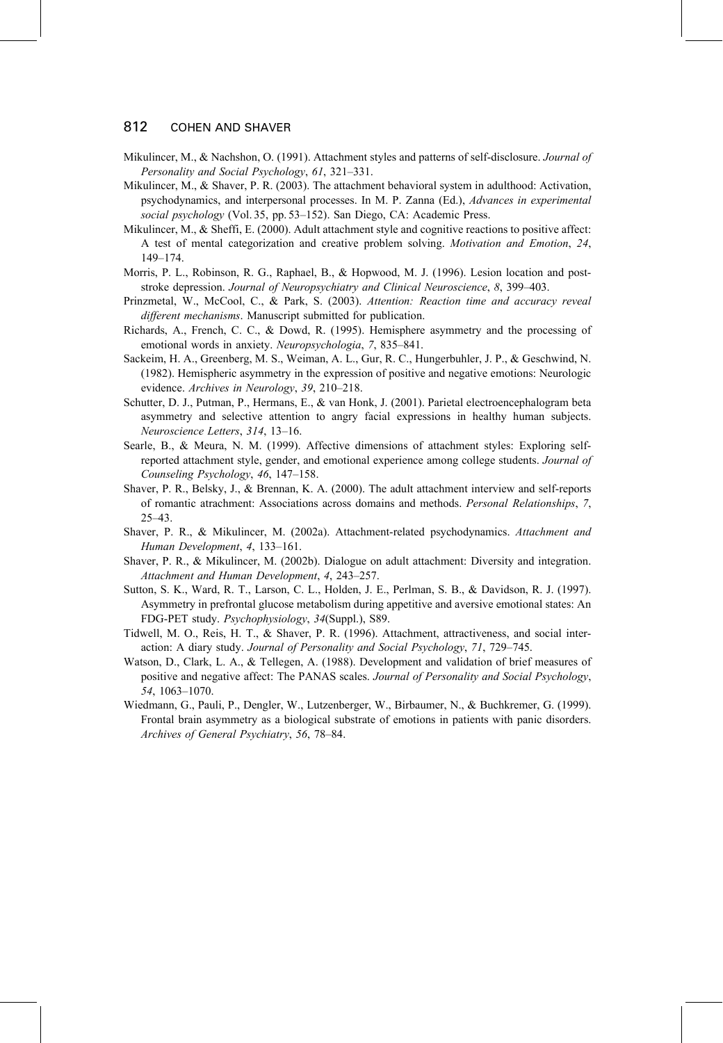- Mikulincer, M., & Nachshon, O. (1991). Attachment styles and patterns of self-disclosure. Journal of Personality and Social Psychology, 61, 321-331.
- Mikulincer, M., & Shaver, P. R. (2003). The attachment behavioral system in adulthood: Activation, psychodynamics, and interpersonal processes. In M. P. Zanna (Ed.), Advances in experimental social psychology (Vol. 35, pp. 53-152). San Diego, CA: Academic Press.
- Mikulincer, M., & Sheffi, E. (2000). Adult attachment style and cognitive reactions to positive affect: A test of mental categorization and creative problem solving. Motivation and Emotion, 24,  $149 - 174.$
- Morris, P. L., Robinson, R. G., Raphael, B., & Hopwood, M. J. (1996). Lesion location and poststroke depression. Journal of Neuropsychiatry and Clinical Neuroscience, 8, 399–403.
- Prinzmetal, W., McCool, C., & Park, S. (2003). Attention: Reaction time and accuracy reveal different mechanisms. Manuscript submitted for publication.
- Richards, A., French, C. C., & Dowd, R. (1995). Hemisphere asymmetry and the processing of emotional words in anxiety. Neuropsychologia, 7, 835-841.
- Sackeim, H. A., Greenberg, M. S., Weiman, A. L., Gur, R. C., Hungerbuhler, J. P., & Geschwind, N. (1982). Hemispheric asymmetry in the expression of positive and negative emotions: Neurologic evidence. Archives in Neurology, 39, 210-218.
- Schutter, D. J., Putman, P., Hermans, E., & van Honk, J. (2001). Parietal electroencephalogram beta asymmetry and selective attention to angry facial expressions in healthy human subjects. Neuroscience Letters, 314, 13-16.
- Searle, B., & Meura, N. M. (1999). Affective dimensions of attachment styles: Exploring selfreported attachment style, gender, and emotional experience among college students. Journal of Counseling Psychology, 46, 147-158.
- Shaver, P. R., Belsky, J., & Brennan, K. A. (2000). The adult attachment interview and self-reports of romantic atrachment: Associations across domains and methods. Personal Relationships, 7,  $25 - 43$
- Shaver, P. R., & Mikulincer, M. (2002a). Attachment-related psychodynamics. Attachment and Human Development, 4, 133-161.
- Shaver, P. R., & Mikulincer, M. (2002b). Dialogue on adult attachment: Diversity and integration. Attachment and Human Development, 4, 243-257.
- Sutton, S. K., Ward, R. T., Larson, C. L., Holden, J. E., Perlman, S. B., & Davidson, R. J. (1997). Asymmetry in prefrontal glucose metabolism during appetitive and aversive emotional states: An FDG-PET study. Psychophysiology, 34(Suppl.), S89.
- Tidwell, M. O., Reis, H. T., & Shaver, P. R. (1996). Attachment, attractiveness, and social interaction: A diary study. Journal of Personality and Social Psychology, 71, 729-745.
- Watson, D., Clark, L. A., & Tellegen, A. (1988). Development and validation of brief measures of positive and negative affect: The PANAS scales. Journal of Personality and Social Psychology, 54, 1063-1070.
- Wiedmann, G., Pauli, P., Dengler, W., Lutzenberger, W., Birbaumer, N., & Buchkremer, G. (1999). Frontal brain asymmetry as a biological substrate of emotions in patients with panic disorders. Archives of General Psychiatry, 56, 78-84.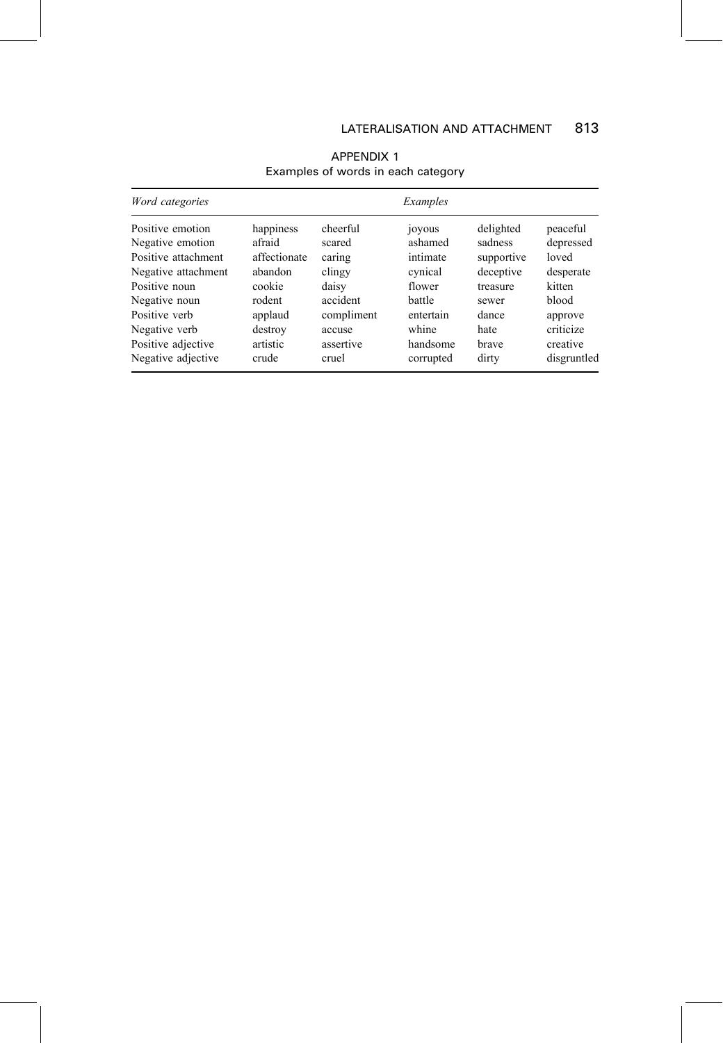| Word categories     |              |            | Examples  |            |             |
|---------------------|--------------|------------|-----------|------------|-------------|
| Positive emotion    | happiness    | cheerful   | joyous    | delighted  | peaceful    |
| Negative emotion    | afraid       | scared     | ashamed   | sadness    | depressed   |
| Positive attachment | affectionate | caring     | intimate  | supportive | loved       |
| Negative attachment | abandon      | clingy     | cynical   | deceptive  | desperate   |
| Positive noun       | cookie       | daisy      | flower    | treasure   | kitten      |
| Negative noun       | rodent       | accident   | battle    | sewer      | blood       |
| Positive verb       | applaud      | compliment | entertain | dance      | approve     |
| Negative verb       | destroy      | accuse     | whine     | hate       | criticize   |
| Positive adjective  | artistic     | assertive  | handsome  | brave      | creative    |
| Negative adjective  | crude        | cruel      | corrupted | dirty      | disgruntled |

### APPENDIX 1 Examples of words in each category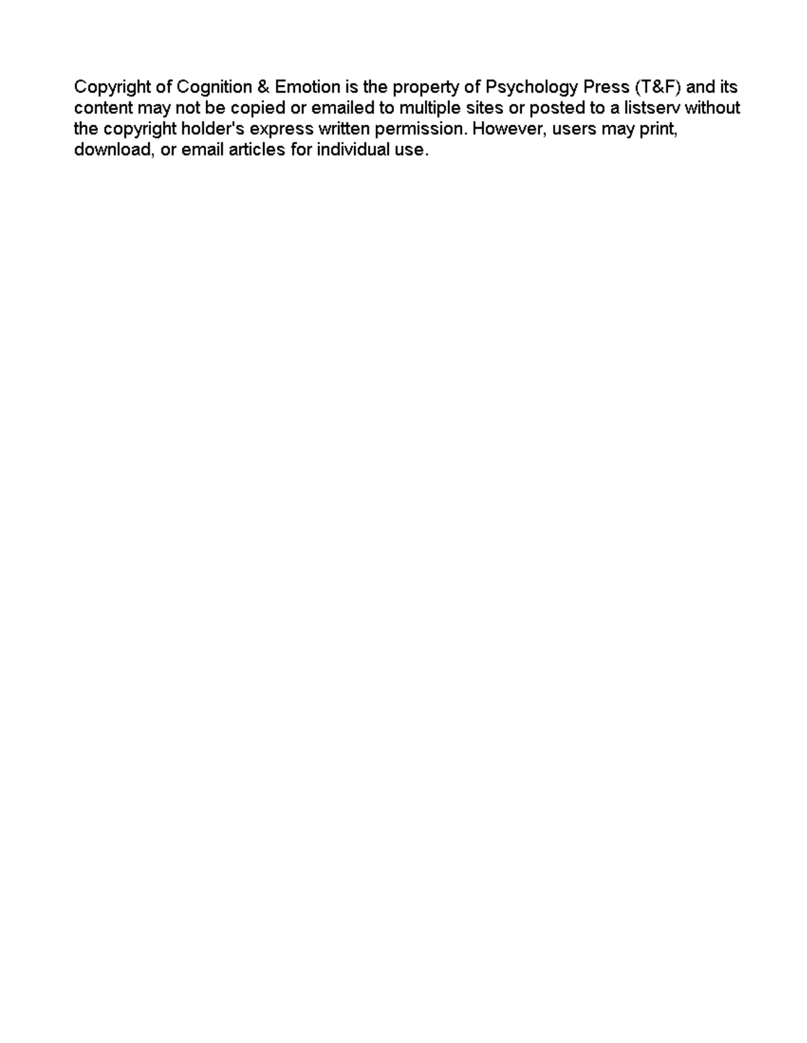Copyright of Cognition & Emotion is the property of Psychology Press (T&F) and its content may not be copied or emailed to multiple sites or posted to a listserv without the copyright holder's express written permission. However, users may print, download, or email articles for individual use.